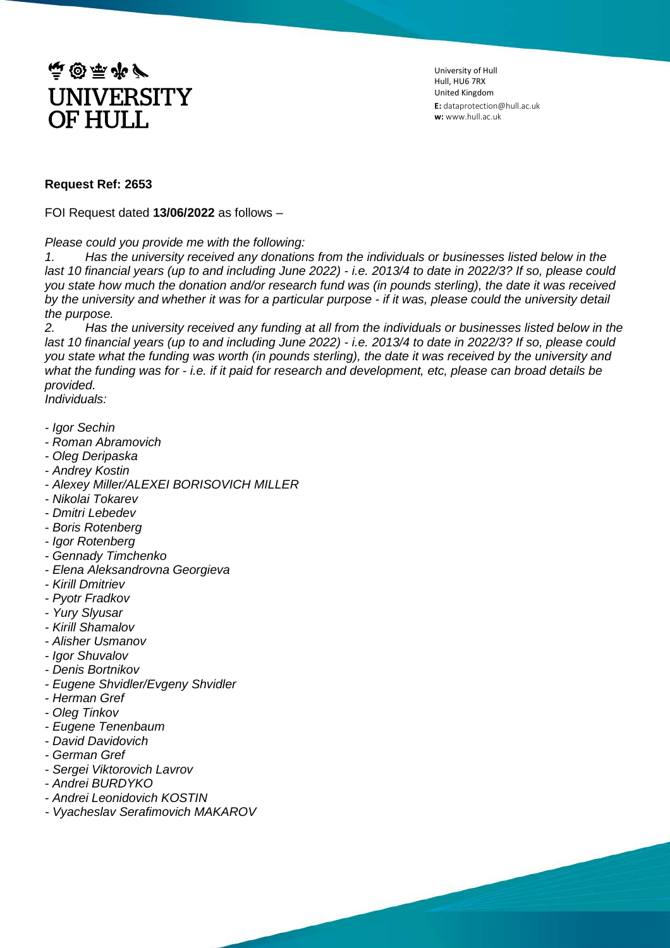

University of Hull Hull, HU6 7RX United Kingdom **E:** dataprotection@hull.ac.uk **w:** www.hull.ac.uk

## **Request Ref: 2653**

FOI Request dated **13/06/2022** as follows –

*Please could you provide me with the following:*

*1. Has the university received any donations from the individuals or businesses listed below in the last 10 financial years (up to and including June 2022) - i.e. 2013/4 to date in 2022/3? If so, please could you state how much the donation and/or research fund was (in pounds sterling), the date it was received by the university and whether it was for a particular purpose - if it was, please could the university detail the purpose.*

*2. Has the university received any funding at all from the individuals or businesses listed below in the last 10 financial years (up to and including June 2022) - i.e. 2013/4 to date in 2022/3? If so, please could you state what the funding was worth (in pounds sterling), the date it was received by the university and what the funding was for - i.e. if it paid for research and development, etc, please can broad details be provided.*

*Individuals:*

- *- Igor Sechin*
- *- Roman Abramovich*
- *- Oleg Deripaska*
- *- Andrey Kostin*
- *- Alexey Miller/ALEXEI BORISOVICH MILLER*
- *- Nikolai Tokarev*
- *- Dmitri Lebedev*
- *- Boris Rotenberg*
- *- Igor Rotenberg*
- *- Gennady Timchenko*
- *- Elena Aleksandrovna Georgieva*
- *- Kirill Dmitriev*
- *- Pyotr Fradkov*
- *- Yury Slyusar*
- *- Kirill Shamalov*
- *- Alisher Usmanov*
- *- Igor Shuvalov*
- *- Denis Bortnikov*
- *- Eugene Shvidler/Evgeny Shvidler*
- *- Herman Gref*
- *- Oleg Tinkov*
- *- Eugene Tenenbaum*
- *- David Davidovich*
- *- German Gref*
- *- Sergei Viktorovich Lavrov*
- *- Andrei BURDYKO*
- *- Andrei Leonidovich KOSTIN*
- *- Vyacheslav Serafimovich MAKAROV*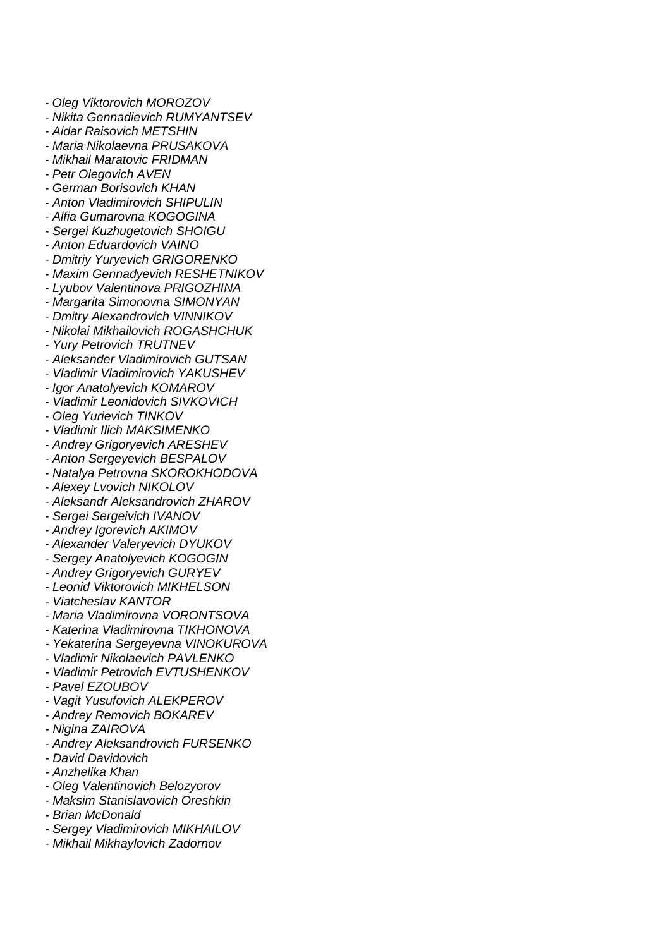- *- Oleg Viktorovich MOROZOV*
- *- Nikita Gennadievich RUMYANTSEV*
- *- Aidar Raisovich METSHIN*
- *- Maria Nikolaevna PRUSAKOVA*
- *- Mikhail Maratovic FRIDMAN*
- *- Petr Olegovich AVEN*
- *- German Borisovich KHAN*
- *- Anton Vladimirovich SHIPULIN*
- *- Alfia Gumarovna KOGOGINA*
- *- Sergei Kuzhugetovich SHOIGU*
- *- Anton Eduardovich VAINO*
- *- Dmitriy Yuryevich GRIGORENKO*
- *- Maxim Gennadyevich RESHETNIKOV*
- *- Lyubov Valentinova PRIGOZHINA*
- *- Margarita Simonovna SIMONYAN*
- *- Dmitry Alexandrovich VINNIKOV*
- *- Nikolai Mikhailovich ROGASHCHUK*
- *- Yury Petrovich TRUTNEV*
- *- Aleksander Vladimirovich GUTSAN*
- *- Vladimir Vladimirovich YAKUSHEV*
- *- Igor Anatolyevich KOMAROV*
- *- Vladimir Leonidovich SIVKOVICH*
- *- Oleg Yurievich TINKOV*
- *- Vladimir Ilich MAKSIMENKO*
- *- Andrey Grigoryevich ARESHEV*
- *- Anton Sergeyevich BESPALOV*
- *- Natalya Petrovna SKOROKHODOVA*
- *- Alexey Lvovich NIKOLOV*
- *- Aleksandr Aleksandrovich ZHAROV*
- *- Sergei Sergeivich IVANOV*
- *- Andrey Igorevich AKIMOV*
- *- Alexander Valeryevich DYUKOV*
- *- Sergey Anatolyevich KOGOGIN*
- *- Andrey Grigoryevich GURYEV*
- *- Leonid Viktorovich MIKHELSON*
- *- Viatcheslav KANTOR*
- *- Maria Vladimirovna VORONTSOVA*
- *- Katerina Vladimirovna TIKHONOVA*
- *- Yekaterina Sergeyevna VINOKUROVA*
- *- Vladimir Nikolaevich PAVLENKO*
- *- Vladimir Petrovich EVTUSHENKOV*
- *- Pavel EZOUBOV*
- *- Vagit Yusufovich ALEKPEROV*
- *- Andrey Removich BOKAREV*
- *- Nigina ZAIROVA*
- *- Andrey Aleksandrovich FURSENKO*
- *- David Davidovich*
- *- Anzhelika Khan*
- *- Oleg Valentinovich Belozyorov*
- *- Maksim Stanislavovich Oreshkin*
- *- Brian McDonald*
- *- Sergey Vladimirovich MIKHAILOV*
- *- Mikhail Mikhaylovich Zadornov*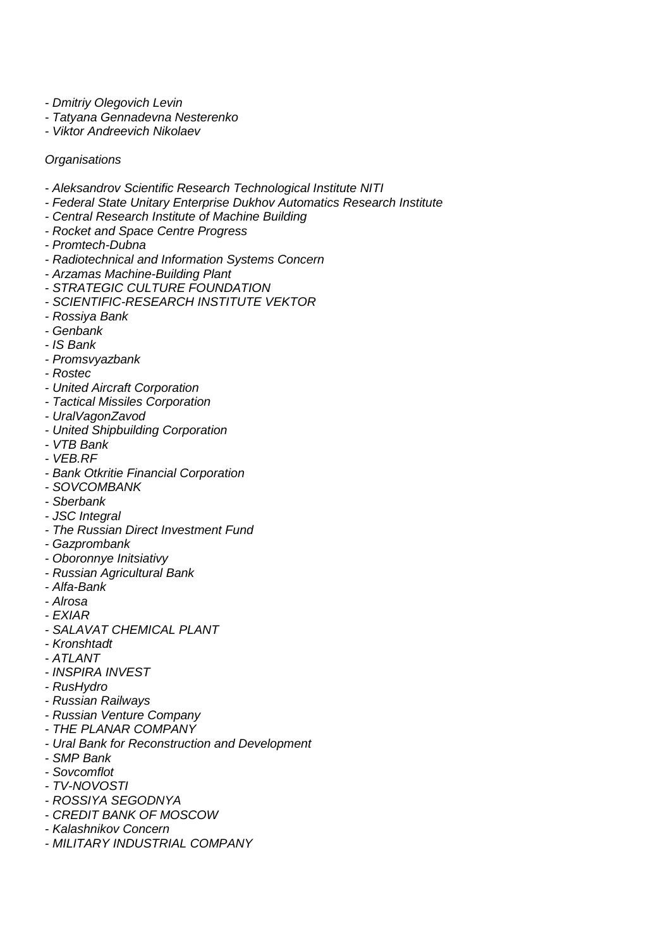*- Dmitriy Olegovich Levin*

- *- Tatyana Gennadevna Nesterenko*
- *- Viktor Andreevich Nikolaev*

*Organisations*

- *- Aleksandrov Scientific Research Technological Institute NITI*
- *- Federal State Unitary Enterprise Dukhov Automatics Research Institute*
- *- Central Research Institute of Machine Building*
- *- Rocket and Space Centre Progress*
- *- Promtech-Dubna*
- *- Radiotechnical and Information Systems Concern*
- *- Arzamas Machine-Building Plant*
- *- STRATEGIC CULTURE FOUNDATION*
- *- SCIENTIFIC-RESEARCH INSTITUTE VEKTOR*
- *- Rossiya Bank*
- *- Genbank*
- *- IS Bank*
- *- Promsvyazbank*
- *- Rostec*
- *- United Aircraft Corporation*
- *- Tactical Missiles Corporation*
- *- UralVagonZavod*
- *- United Shipbuilding Corporation*
- *- VTB Bank*
- *- VEB.RF*
- *- Bank Otkritie Financial Corporation*
- *- SOVCOMBANK*
- *- Sberbank*
- *- JSC Integral*
- *- The Russian Direct Investment Fund*
- *- Gazprombank*
- *- Oboronnye Initsiativy*
- *- Russian Agricultural Bank*
- *- Alfa-Bank*
- *- Alrosa*
- *- EXIAR*
- *- SALAVAT CHEMICAL PLANT*
- *- Kronshtadt*
- *- ATLANT*
- *- INSPIRA INVEST*
- *- RusHydro*
- *- Russian Railways*
- *- Russian Venture Company*
- *- THE PLANAR COMPANY*
- *- Ural Bank for Reconstruction and Development*
- *- SMP Bank*
- *- Sovcomflot*
- *- TV-NOVOSTI*
- *- ROSSIYA SEGODNYA*
- *- CREDIT BANK OF MOSCOW*
- *- Kalashnikov Concern*
- *- MILITARY INDUSTRIAL COMPANY*